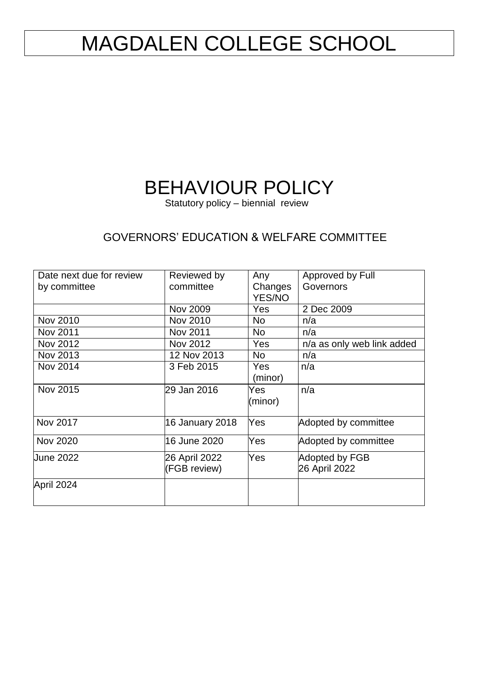# MAGDALEN COLLEGE SCHOOL

# BEHAVIOUR POLICY

Statutory policy – biennial review

## GOVERNORS' EDUCATION & WELFARE COMMITTEE

| Date next due for review | Reviewed by            | Any               | Approved by Full           |
|--------------------------|------------------------|-------------------|----------------------------|
| by committee             | committee              | Changes<br>YES/NO | Governors                  |
|                          |                        |                   |                            |
|                          | <b>Nov 2009</b>        | <b>Yes</b>        | 2 Dec 2009                 |
| Nov 2010                 | Nov 2010               | <b>No</b>         | n/a                        |
| Nov 2011                 | Nov 2011               | <b>No</b>         | n/a                        |
| Nov 2012                 | Nov 2012               | <b>Yes</b>        | n/a as only web link added |
| Nov 2013                 | 12 Nov 2013            | N <sub>o</sub>    | n/a                        |
| <b>Nov 2014</b>          | 3 Feb 2015             | <b>Yes</b>        | n/a                        |
|                          |                        | (minor)           |                            |
| Nov 2015                 | 29 Jan 2016            | Yes               | n/a                        |
|                          |                        | (minor)           |                            |
|                          |                        |                   |                            |
| Nov 2017                 | <b>16 January 2018</b> | Yes               | Adopted by committee       |
| Nov 2020                 | 16 June 2020           | Yes               | Adopted by committee       |
| Uune 2022                | 26 April 2022          | Yes               | Adopted by FGB             |
|                          | (FGB review)           |                   | 26 April 2022              |
| April 2024               |                        |                   |                            |
|                          |                        |                   |                            |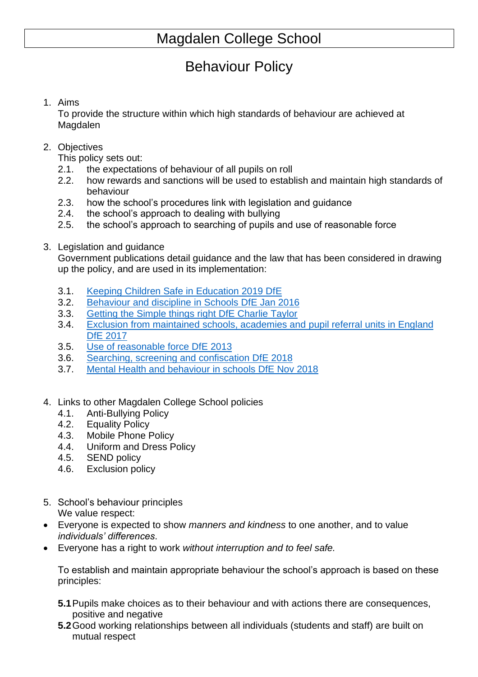## Behaviour Policy

### 1. Aims

To provide the structure within which high standards of behaviour are achieved at Magdalen

2. Objectives

This policy sets out:

- 2.1. the expectations of behaviour of all pupils on roll
- 2.2. how rewards and sanctions will be used to establish and maintain high standards of behaviour
- 2.3. how the school's procedures link with legislation and guidance
- 2.4. the school's approach to dealing with bullying
- 2.5. the school's approach to searching of pupils and use of reasonable force
- 3. Legislation and guidance

Government publications detail guidance and the law that has been considered in drawing up the policy, and are used in its implementation:

- 3.1. [Keeping Children Safe in Education 2019 DfE](https://assets.publishing.service.gov.uk/government/uploads/system/uploads/attachment_data/file/836144/Keeping_children_safe_in_education_part_1_2019.pdf)
- 3.2. [Behaviour and discipline in Schools DfE](https://assets.publishing.service.gov.uk/government/uploads/system/uploads/attachment_data/file/488034/Behaviour_and_Discipline_in_Schools_-_A_guide_for_headteachers_and_School_Staff.pdf) Jan 2016
- 3.3. [Getting the Simple things right DfE](https://assets.publishing.service.gov.uk/government/uploads/system/uploads/attachment_data/file/571640/Getting_the_simple_things_right_Charlie_Taylor_s_behaviour_checklists.pdf) Charlie Taylor
- 3.4. [Exclusion from maintained schools, academies and pupil referral units in England](https://assets.publishing.service.gov.uk/government/uploads/system/uploads/attachment_data/file/641418/20170831_Exclusion_Stat_guidance_Web_version.pdf)  DfE [2017](https://assets.publishing.service.gov.uk/government/uploads/system/uploads/attachment_data/file/641418/20170831_Exclusion_Stat_guidance_Web_version.pdf)
- 3.5. [Use of reasonable force DfE](https://assets.publishing.service.gov.uk/government/uploads/system/uploads/attachment_data/file/444051/Use_of_reasonable_force_advice_Reviewed_July_2015.pdf) 2013
- 3.6. [Searching, screening and confiscation DfE 2018](https://assets.publishing.service.gov.uk/government/uploads/system/uploads/attachment_data/file/674416/Searching_screening_and_confiscation.pdf)
- 3.7. [Mental Health and behaviour in schools DfE](https://assets.publishing.service.gov.uk/government/uploads/system/uploads/attachment_data/file/755135/Mental_health_and_behaviour_in_schools__.pdf) Nov 2018
- 4. Links to other Magdalen College School policies
	- 4.1. Anti-Bullying Policy
	- 4.2. Equality Policy
	- 4.3. Mobile Phone Policy
	- 4.4. Uniform and Dress Policy
	- 4.5. SEND policy
	- 4.6. Exclusion policy
- 5. School's behaviour principles We value respect:
- Everyone is expected to show *manners and kindness* to one another, and to value *individuals' differences*.
- Everyone has a right to work *without interruption and to feel safe.*

To establish and maintain appropriate behaviour the school's approach is based on these principles:

- **5.1**Pupils make choices as to their behaviour and with actions there are consequences, positive and negative
- **5.2**Good working relationships between all individuals (students and staff) are built on mutual respect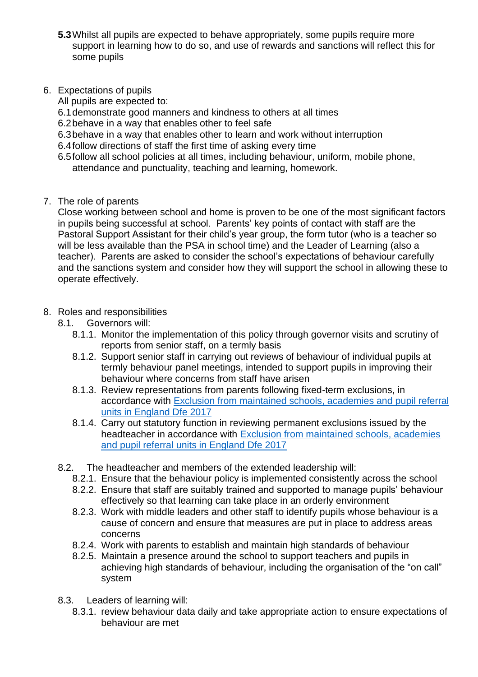- **5.3**Whilst all pupils are expected to behave appropriately, some pupils require more support in learning how to do so, and use of rewards and sanctions will reflect this for some pupils
- 6. Expectations of pupils

All pupils are expected to:

- 6.1demonstrate good manners and kindness to others at all times
- 6.2behave in a way that enables other to feel safe
- 6.3behave in a way that enables other to learn and work without interruption
- 6.4follow directions of staff the first time of asking every time
- 6.5follow all school policies at all times, including behaviour, uniform, mobile phone, attendance and punctuality, teaching and learning, homework.
- 7. The role of parents

Close working between school and home is proven to be one of the most significant factors in pupils being successful at school. Parents' key points of contact with staff are the Pastoral Support Assistant for their child's year group, the form tutor (who is a teacher so will be less available than the PSA in school time) and the Leader of Learning (also a teacher). Parents are asked to consider the school's expectations of behaviour carefully and the sanctions system and consider how they will support the school in allowing these to operate effectively.

- 8. Roles and responsibilities
	- 8.1. Governors will:
		- 8.1.1. Monitor the implementation of this policy through governor visits and scrutiny of reports from senior staff, on a termly basis
		- 8.1.2. Support senior staff in carrying out reviews of behaviour of individual pupils at termly behaviour panel meetings, intended to support pupils in improving their behaviour where concerns from staff have arisen
		- 8.1.3. Review representations from parents following fixed-term exclusions, in accordance with [Exclusion from maintained schools, academies and pupil referral](https://assets.publishing.service.gov.uk/government/uploads/system/uploads/attachment_data/file/641418/20170831_Exclusion_Stat_guidance_Web_version.pdf)  [units in England Dfe 2017](https://assets.publishing.service.gov.uk/government/uploads/system/uploads/attachment_data/file/641418/20170831_Exclusion_Stat_guidance_Web_version.pdf)
		- 8.1.4. Carry out statutory function in reviewing permanent exclusions issued by the headteacher in accordance with [Exclusion from maintained schools, academies](https://assets.publishing.service.gov.uk/government/uploads/system/uploads/attachment_data/file/641418/20170831_Exclusion_Stat_guidance_Web_version.pdf)  [and pupil referral units in England Dfe 2017](https://assets.publishing.service.gov.uk/government/uploads/system/uploads/attachment_data/file/641418/20170831_Exclusion_Stat_guidance_Web_version.pdf)
	- 8.2. The headteacher and members of the extended leadership will:
		- 8.2.1. Ensure that the behaviour policy is implemented consistently across the school
		- 8.2.2. Ensure that staff are suitably trained and supported to manage pupils' behaviour effectively so that learning can take place in an orderly environment
		- 8.2.3. Work with middle leaders and other staff to identify pupils whose behaviour is a cause of concern and ensure that measures are put in place to address areas concerns
		- 8.2.4. Work with parents to establish and maintain high standards of behaviour
		- 8.2.5. Maintain a presence around the school to support teachers and pupils in achieving high standards of behaviour, including the organisation of the "on call" system
	- 8.3. Leaders of learning will:
		- 8.3.1. review behaviour data daily and take appropriate action to ensure expectations of behaviour are met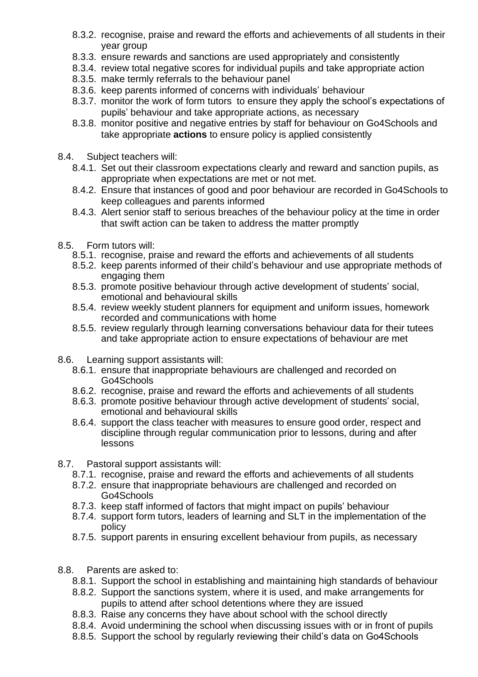- 8.3.2. recognise, praise and reward the efforts and achievements of all students in their year group
- 8.3.3. ensure rewards and sanctions are used appropriately and consistently
- 8.3.4. review total negative scores for individual pupils and take appropriate action
- 8.3.5. make termly referrals to the behaviour panel
- 8.3.6. keep parents informed of concerns with individuals' behaviour
- 8.3.7. monitor the work of form tutors to ensure they apply the school's expectations of pupils' behaviour and take appropriate actions, as necessary
- 8.3.8. monitor positive and negative entries by staff for behaviour on Go4Schools and take appropriate **actions** to ensure policy is applied consistently
- 8.4. Subject teachers will:
	- 8.4.1. Set out their classroom expectations clearly and reward and sanction pupils, as appropriate when expectations are met or not met.
	- 8.4.2. Ensure that instances of good and poor behaviour are recorded in Go4Schools to keep colleagues and parents informed
	- 8.4.3. Alert senior staff to serious breaches of the behaviour policy at the time in order that swift action can be taken to address the matter promptly
- 8.5. Form tutors will:
	- 8.5.1. recognise, praise and reward the efforts and achievements of all students
	- 8.5.2. keep parents informed of their child's behaviour and use appropriate methods of engaging them
	- 8.5.3. promote positive behaviour through active development of students' social, emotional and behavioural skills
	- 8.5.4. review weekly student planners for equipment and uniform issues, homework recorded and communications with home
	- 8.5.5. review regularly through learning conversations behaviour data for their tutees and take appropriate action to ensure expectations of behaviour are met
- 8.6. Learning support assistants will:
	- 8.6.1. ensure that inappropriate behaviours are challenged and recorded on Go4Schools
	- 8.6.2. recognise, praise and reward the efforts and achievements of all students
	- 8.6.3. promote positive behaviour through active development of students' social, emotional and behavioural skills
	- 8.6.4. support the class teacher with measures to ensure good order, respect and discipline through regular communication prior to lessons, during and after lessons
- 8.7. Pastoral support assistants will:
	- 8.7.1. recognise, praise and reward the efforts and achievements of all students
	- 8.7.2. ensure that inappropriate behaviours are challenged and recorded on Go4Schools
	- 8.7.3. keep staff informed of factors that might impact on pupils' behaviour
	- 8.7.4. support form tutors, leaders of learning and SLT in the implementation of the policy
	- 8.7.5. support parents in ensuring excellent behaviour from pupils, as necessary
- 8.8. Parents are asked to:
	- 8.8.1. Support the school in establishing and maintaining high standards of behaviour
	- 8.8.2. Support the sanctions system, where it is used, and make arrangements for pupils to attend after school detentions where they are issued
	- 8.8.3. Raise any concerns they have about school with the school directly
	- 8.8.4. Avoid undermining the school when discussing issues with or in front of pupils
	- 8.8.5. Support the school by regularly reviewing their child's data on Go4Schools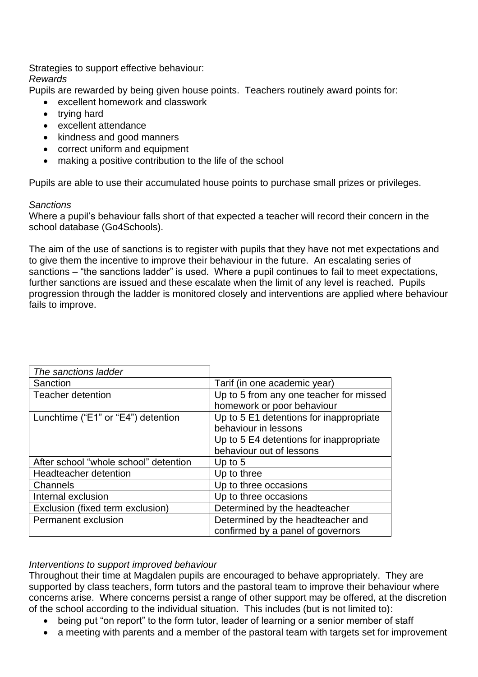Strategies to support effective behaviour: *Rewards*

Pupils are rewarded by being given house points. Teachers routinely award points for:

- excellent homework and classwork
- trying hard
- excellent attendance
- kindness and good manners
- correct uniform and equipment
- making a positive contribution to the life of the school

Pupils are able to use their accumulated house points to purchase small prizes or privileges.

#### *Sanctions*

Where a pupil's behaviour falls short of that expected a teacher will record their concern in the school database (Go4Schools).

The aim of the use of sanctions is to register with pupils that they have not met expectations and to give them the incentive to improve their behaviour in the future. An escalating series of sanctions – "the sanctions ladder" is used. Where a pupil continues to fail to meet expectations, further sanctions are issued and these escalate when the limit of any level is reached. Pupils progression through the ladder is monitored closely and interventions are applied where behaviour fails to improve.

| The sanctions ladder                  |                                         |
|---------------------------------------|-----------------------------------------|
| Sanction                              | Tarif (in one academic year)            |
| <b>Teacher detention</b>              | Up to 5 from any one teacher for missed |
|                                       | homework or poor behaviour              |
| Lunchtime ("E1" or "E4") detention    | Up to 5 E1 detentions for inappropriate |
|                                       | behaviour in lessons                    |
|                                       | Up to 5 E4 detentions for inappropriate |
|                                       | behaviour out of lessons                |
| After school "whole school" detention | Up to $5$                               |
| <b>Headteacher detention</b>          | Up to three                             |
| Channels                              | Up to three occasions                   |
| Internal exclusion                    | Up to three occasions                   |
| Exclusion (fixed term exclusion)      | Determined by the headteacher           |
| Permanent exclusion                   | Determined by the headteacher and       |
|                                       | confirmed by a panel of governors       |

### *Interventions to support improved behaviour*

Throughout their time at Magdalen pupils are encouraged to behave appropriately. They are supported by class teachers, form tutors and the pastoral team to improve their behaviour where concerns arise. Where concerns persist a range of other support may be offered, at the discretion of the school according to the individual situation. This includes (but is not limited to):

- being put "on report" to the form tutor, leader of learning or a senior member of staff
- a meeting with parents and a member of the pastoral team with targets set for improvement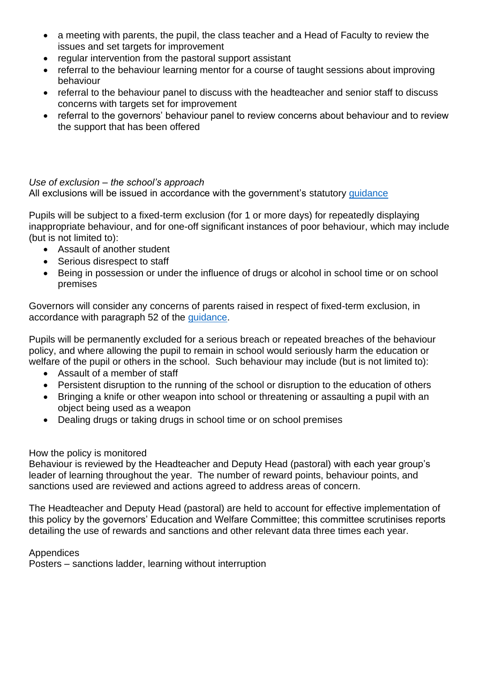- a meeting with parents, the pupil, the class teacher and a Head of Faculty to review the issues and set targets for improvement
- regular intervention from the pastoral support assistant
- referral to the behaviour learning mentor for a course of taught sessions about improving behaviour
- referral to the behaviour panel to discuss with the headteacher and senior staff to discuss concerns with targets set for improvement
- referral to the governors' behaviour panel to review concerns about behaviour and to review the support that has been offered

### *Use of exclusion – the school's approach*

All exclusions will be issued in accordance with the government's statutory quidance

Pupils will be subject to a fixed-term exclusion (for 1 or more days) for repeatedly displaying inappropriate behaviour, and for one-off significant instances of poor behaviour, which may include (but is not limited to):

- Assault of another student
- Serious disrespect to staff
- Being in possession or under the influence of drugs or alcohol in school time or on school premises

Governors will consider any concerns of parents raised in respect of fixed-term exclusion, in accordance with paragraph 52 of the [guidance.](https://assets.publishing.service.gov.uk/government/uploads/system/uploads/attachment_data/file/641418/20170831_Exclusion_Stat_guidance_Web_version.pdf)

Pupils will be permanently excluded for a serious breach or repeated breaches of the behaviour policy, and where allowing the pupil to remain in school would seriously harm the education or welfare of the pupil or others in the school. Such behaviour may include (but is not limited to):

- Assault of a member of staff
- Persistent disruption to the running of the school or disruption to the education of others
- Bringing a knife or other weapon into school or threatening or assaulting a pupil with an object being used as a weapon
- Dealing drugs or taking drugs in school time or on school premises

### How the policy is monitored

Behaviour is reviewed by the Headteacher and Deputy Head (pastoral) with each year group's leader of learning throughout the year. The number of reward points, behaviour points, and sanctions used are reviewed and actions agreed to address areas of concern.

The Headteacher and Deputy Head (pastoral) are held to account for effective implementation of this policy by the governors' Education and Welfare Committee; this committee scrutinises reports detailing the use of rewards and sanctions and other relevant data three times each year.

### Appendices

Posters – sanctions ladder, learning without interruption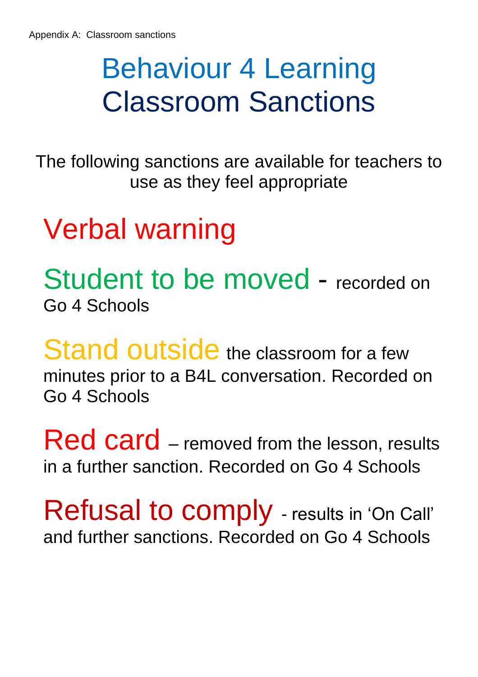# Behaviour 4 Learning Classroom Sanctions

The following sanctions are available for teachers to use as they feel appropriate

Verbal warning

Student to be moved - recorded on Go 4 Schools

Stand outside the classroom for a few minutes prior to a B4L conversation. Recorded on Go 4 Schools

**Red card** – removed from the lesson, results in a further sanction. Recorded on Go 4 Schools

Refusal to comply - results in 'On Call' and further sanctions. Recorded on Go 4 Schools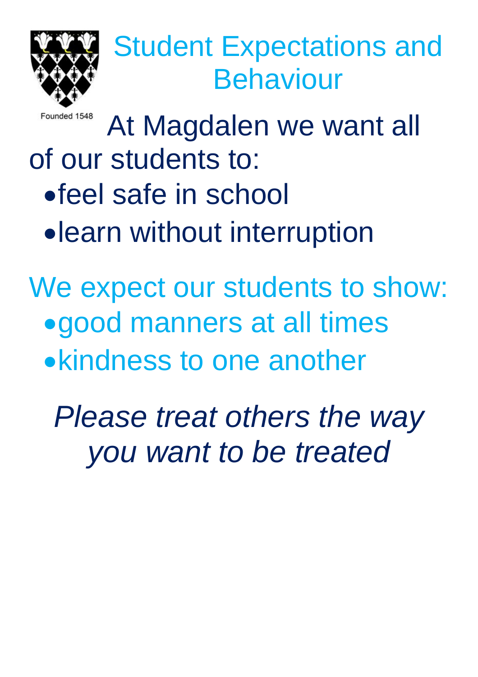

# Student Expectations and Behaviour

Founded 1548

At Magdalen we want all of our students to: •feel safe in school •learn without interruption

We expect our students to show: •good manners at all times •kindness to one another

*Please treat others the way you want to be treated*